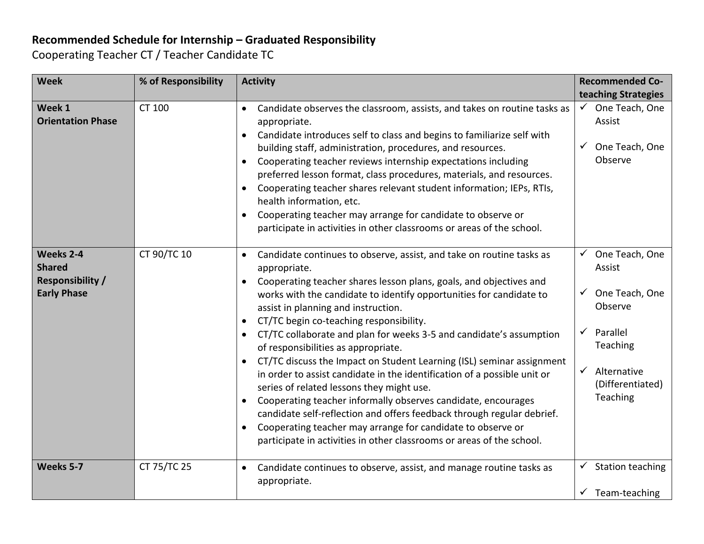## **Recommended Schedule for Internship – Graduated Responsibility**

Cooperating Teacher CT / Teacher Candidate TC

| <b>Week</b>                                                                 | % of Responsibility | <b>Activity</b>                                                                                                                                                                                                                                                                                                                                                                                                                                                                                                                                                                                                                                                                                                                                                                                                                                                                                                                                                                         | <b>Recommended Co-</b>                                                                                                                                                 |
|-----------------------------------------------------------------------------|---------------------|-----------------------------------------------------------------------------------------------------------------------------------------------------------------------------------------------------------------------------------------------------------------------------------------------------------------------------------------------------------------------------------------------------------------------------------------------------------------------------------------------------------------------------------------------------------------------------------------------------------------------------------------------------------------------------------------------------------------------------------------------------------------------------------------------------------------------------------------------------------------------------------------------------------------------------------------------------------------------------------------|------------------------------------------------------------------------------------------------------------------------------------------------------------------------|
|                                                                             |                     |                                                                                                                                                                                                                                                                                                                                                                                                                                                                                                                                                                                                                                                                                                                                                                                                                                                                                                                                                                                         | teaching Strategies                                                                                                                                                    |
| Week 1<br><b>Orientation Phase</b>                                          | CT 100              | Candidate observes the classroom, assists, and takes on routine tasks as<br>appropriate.<br>Candidate introduces self to class and begins to familiarize self with<br>building staff, administration, procedures, and resources.<br>Cooperating teacher reviews internship expectations including<br>$\bullet$<br>preferred lesson format, class procedures, materials, and resources.<br>Cooperating teacher shares relevant student information; IEPs, RTIs,<br>health information, etc.<br>Cooperating teacher may arrange for candidate to observe or<br>participate in activities in other classrooms or areas of the school.                                                                                                                                                                                                                                                                                                                                                      | $\checkmark$ One Teach, One<br>Assist<br>One Teach, One<br>$\checkmark$<br>Observe                                                                                     |
| Weeks 2-4<br><b>Shared</b><br><b>Responsibility /</b><br><b>Early Phase</b> | CT 90/TC 10         | Candidate continues to observe, assist, and take on routine tasks as<br>$\bullet$<br>appropriate.<br>Cooperating teacher shares lesson plans, goals, and objectives and<br>$\bullet$<br>works with the candidate to identify opportunities for candidate to<br>assist in planning and instruction.<br>CT/TC begin co-teaching responsibility.<br>$\bullet$<br>CT/TC collaborate and plan for weeks 3-5 and candidate's assumption<br>of responsibilities as appropriate.<br>CT/TC discuss the Impact on Student Learning (ISL) seminar assignment<br>in order to assist candidate in the identification of a possible unit or<br>series of related lessons they might use.<br>Cooperating teacher informally observes candidate, encourages<br>$\bullet$<br>candidate self-reflection and offers feedback through regular debrief.<br>Cooperating teacher may arrange for candidate to observe or<br>$\bullet$<br>participate in activities in other classrooms or areas of the school. | $\checkmark$ One Teach, One<br>Assist<br>One Teach, One<br>Observe<br>Parallel<br>$\checkmark$<br>Teaching<br>$\checkmark$ Alternative<br>(Differentiated)<br>Teaching |
| Weeks 5-7                                                                   | CT 75/TC 25         | Candidate continues to observe, assist, and manage routine tasks as<br>appropriate.                                                                                                                                                                                                                                                                                                                                                                                                                                                                                                                                                                                                                                                                                                                                                                                                                                                                                                     | $\checkmark$ Station teaching<br>Team-teaching<br>$\checkmark$                                                                                                         |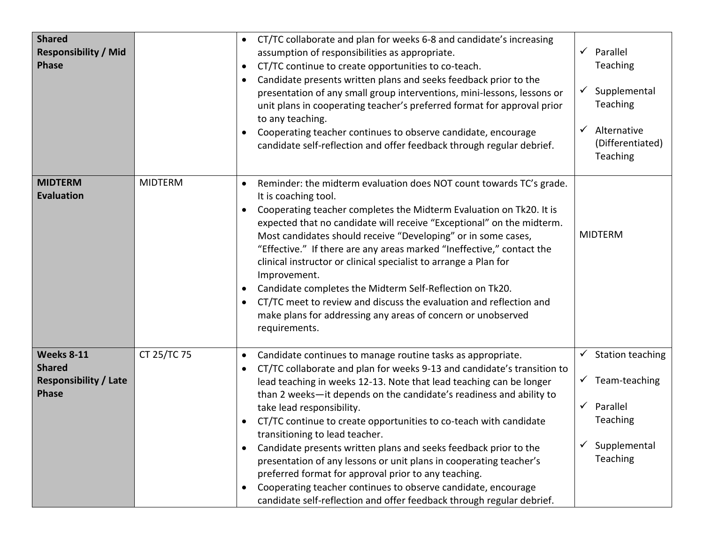| <b>Shared</b><br><b>Responsibility / Mid</b><br><b>Phase</b>                       |                | CT/TC collaborate and plan for weeks 6-8 and candidate's increasing<br>$\bullet$<br>assumption of responsibilities as appropriate.<br>CT/TC continue to create opportunities to co-teach.<br>$\bullet$<br>Candidate presents written plans and seeks feedback prior to the<br>$\bullet$<br>presentation of any small group interventions, mini-lessons, lessons or<br>unit plans in cooperating teacher's preferred format for approval prior<br>to any teaching.<br>Cooperating teacher continues to observe candidate, encourage<br>candidate self-reflection and offer feedback through regular debrief.                                                                                                                                                                                                              | Parallel<br>Teaching<br>Supplemental<br>$\checkmark$<br>Teaching<br>Alternative<br>$\checkmark$<br>(Differentiated)<br>Teaching |
|------------------------------------------------------------------------------------|----------------|--------------------------------------------------------------------------------------------------------------------------------------------------------------------------------------------------------------------------------------------------------------------------------------------------------------------------------------------------------------------------------------------------------------------------------------------------------------------------------------------------------------------------------------------------------------------------------------------------------------------------------------------------------------------------------------------------------------------------------------------------------------------------------------------------------------------------|---------------------------------------------------------------------------------------------------------------------------------|
| <b>MIDTERM</b><br><b>Evaluation</b>                                                | <b>MIDTERM</b> | Reminder: the midterm evaluation does NOT count towards TC's grade.<br>$\bullet$<br>It is coaching tool.<br>Cooperating teacher completes the Midterm Evaluation on Tk20. It is<br>$\bullet$<br>expected that no candidate will receive "Exceptional" on the midterm.<br>Most candidates should receive "Developing" or in some cases,<br>"Effective." If there are any areas marked "Ineffective," contact the<br>clinical instructor or clinical specialist to arrange a Plan for<br>Improvement.<br>Candidate completes the Midterm Self-Reflection on Tk20.<br>$\bullet$<br>CT/TC meet to review and discuss the evaluation and reflection and<br>$\bullet$<br>make plans for addressing any areas of concern or unobserved<br>requirements.                                                                         | <b>MIDTERM</b>                                                                                                                  |
| <b>Weeks 8-11</b><br><b>Shared</b><br><b>Responsibility / Late</b><br><b>Phase</b> | CT 25/TC 75    | Candidate continues to manage routine tasks as appropriate.<br>$\bullet$<br>CT/TC collaborate and plan for weeks 9-13 and candidate's transition to<br>$\bullet$<br>lead teaching in weeks 12-13. Note that lead teaching can be longer<br>than 2 weeks-it depends on the candidate's readiness and ability to<br>take lead responsibility.<br>CT/TC continue to create opportunities to co-teach with candidate<br>transitioning to lead teacher.<br>Candidate presents written plans and seeks feedback prior to the<br>$\bullet$<br>presentation of any lessons or unit plans in cooperating teacher's<br>preferred format for approval prior to any teaching.<br>Cooperating teacher continues to observe candidate, encourage<br>$\bullet$<br>candidate self-reflection and offer feedback through regular debrief. | $\checkmark$ Station teaching<br>$\checkmark$ Team-teaching<br>$\checkmark$ Parallel<br>Teaching<br>Supplemental<br>Teaching    |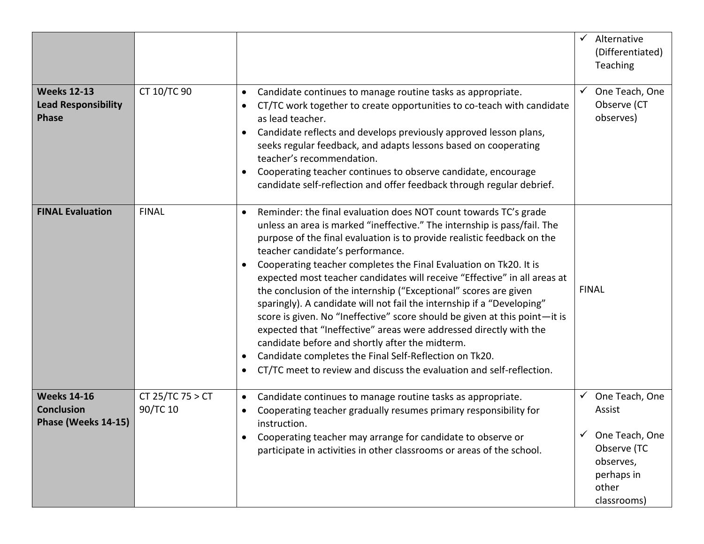| <b>Weeks 12-13</b><br><b>Lead Responsibility</b><br><b>Phase</b> | CT 10/TC 90                  | Candidate continues to manage routine tasks as appropriate.<br>$\bullet$<br>CT/TC work together to create opportunities to co-teach with candidate<br>as lead teacher.<br>Candidate reflects and develops previously approved lesson plans,<br>seeks regular feedback, and adapts lessons based on cooperating<br>teacher's recommendation.<br>Cooperating teacher continues to observe candidate, encourage<br>candidate self-reflection and offer feedback through regular debrief.                                                                                                                                                                                                                                                                                                                                                                                                                                                       | Alternative<br>$\checkmark$<br>(Differentiated)<br>Teaching<br>One Teach, One<br>$\checkmark$<br>Observe (CT<br>observes) |
|------------------------------------------------------------------|------------------------------|---------------------------------------------------------------------------------------------------------------------------------------------------------------------------------------------------------------------------------------------------------------------------------------------------------------------------------------------------------------------------------------------------------------------------------------------------------------------------------------------------------------------------------------------------------------------------------------------------------------------------------------------------------------------------------------------------------------------------------------------------------------------------------------------------------------------------------------------------------------------------------------------------------------------------------------------|---------------------------------------------------------------------------------------------------------------------------|
| <b>FINAL Evaluation</b>                                          | <b>FINAL</b>                 | Reminder: the final evaluation does NOT count towards TC's grade<br>$\bullet$<br>unless an area is marked "ineffective." The internship is pass/fail. The<br>purpose of the final evaluation is to provide realistic feedback on the<br>teacher candidate's performance.<br>Cooperating teacher completes the Final Evaluation on Tk20. It is<br>expected most teacher candidates will receive "Effective" in all areas at<br>the conclusion of the internship ("Exceptional" scores are given<br>sparingly). A candidate will not fail the internship if a "Developing"<br>score is given. No "Ineffective" score should be given at this point-it is<br>expected that "Ineffective" areas were addressed directly with the<br>candidate before and shortly after the midterm.<br>Candidate completes the Final Self-Reflection on Tk20.<br>$\bullet$<br>CT/TC meet to review and discuss the evaluation and self-reflection.<br>$\bullet$ | <b>FINAL</b>                                                                                                              |
| <b>Weeks 14-16</b><br><b>Conclusion</b><br>Phase (Weeks 14-15)   | CT 25/TC 75 > CT<br>90/TC 10 | Candidate continues to manage routine tasks as appropriate.<br>$\bullet$<br>Cooperating teacher gradually resumes primary responsibility for<br>instruction.<br>Cooperating teacher may arrange for candidate to observe or<br>participate in activities in other classrooms or areas of the school.                                                                                                                                                                                                                                                                                                                                                                                                                                                                                                                                                                                                                                        | One Teach, One<br>✓<br>Assist<br>One Teach, One<br>Observe (TC<br>observes,<br>perhaps in<br>other<br>classrooms)         |